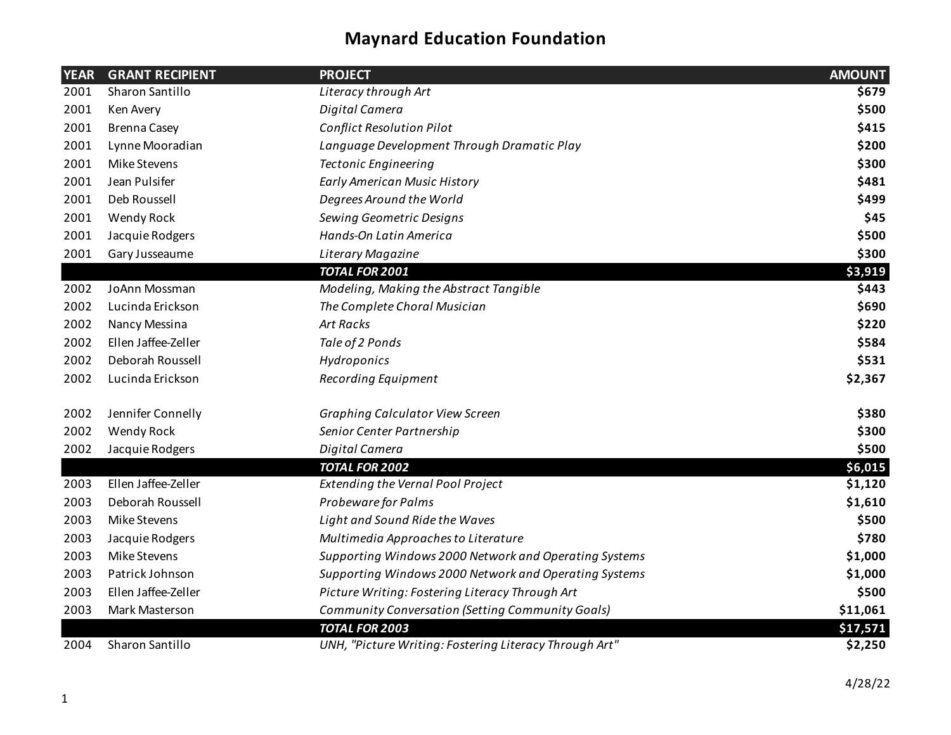| <b>YEAR</b> | <b>GRANT RECIPIENT</b> | <b>PROJECT</b>                                         | <b>AMOUNT</b> |
|-------------|------------------------|--------------------------------------------------------|---------------|
| 2001        | Sharon Santillo        | Literacy through Art                                   | \$679         |
| 2001        | Ken Avery              | Digital Camera                                         | \$500         |
| 2001        | <b>Brenna Casey</b>    | <b>Conflict Resolution Pilot</b>                       | \$415         |
| 2001        | Lynne Mooradian        | Language Development Through Dramatic Play             | \$200         |
| 2001        | Mike Stevens           | <b>Tectonic Engineering</b>                            | \$300         |
| 2001        | Jean Pulsifer          | <b>Early American Music History</b>                    | \$481         |
| 2001        | Deb Roussell           | Degrees Around the World                               | \$499         |
| 2001        | Wendy Rock             | Sewing Geometric Designs                               | \$45          |
| 2001        | Jacquie Rodgers        | Hands-On Latin America                                 | \$500         |
| 2001        | Gary Jusseaume         | Literary Magazine                                      | \$300         |
|             |                        | <b>TOTAL FOR 2001</b>                                  | \$3,919       |
| 2002        | JoAnn Mossman          | Modeling, Making the Abstract Tangible                 | \$443         |
| 2002        | Lucinda Erickson       | The Complete Choral Musician                           | \$690         |
| 2002        | Nancy Messina          | <b>Art Racks</b>                                       | \$220         |
| 2002        | Ellen Jaffee-Zeller    | Tale of 2 Ponds                                        | \$584         |
| 2002        | Deborah Roussell       | Hydroponics                                            | \$531         |
| 2002        | Lucinda Erickson       | <b>Recording Equipment</b>                             | \$2,367       |
| 2002        | Jennifer Connelly      | Graphing Calculator View Screen                        | \$380         |
| 2002        | Wendy Rock             | Senior Center Partnership                              | \$300         |
| 2002        | Jacquie Rodgers        | Digital Camera                                         | \$500         |
|             |                        | <b>TOTAL FOR 2002</b>                                  | \$6,015       |
| 2003        | Ellen Jaffee-Zeller    | <b>Extending the Vernal Pool Project</b>               | \$1,120       |
| 2003        | Deborah Roussell       | Probeware for Palms                                    | \$1,610       |
| 2003        | Mike Stevens           | Light and Sound Ride the Waves                         | \$500         |
| 2003        | Jacquie Rodgers        | Multimedia Approaches to Literature                    | \$780         |
| 2003        | Mike Stevens           | Supporting Windows 2000 Network and Operating Systems  | \$1,000       |
| 2003        | Patrick Johnson        | Supporting Windows 2000 Network and Operating Systems  | \$1,000       |
| 2003        | Ellen Jaffee-Zeller    | Picture Writing: Fostering Literacy Through Art        | \$500         |
| 2003        | Mark Masterson         | Community Conversation (Setting Community Goals)       | \$11,061      |
|             |                        | <b>TOTAL FOR 2003</b>                                  | \$17,571      |
| 2004        | Sharon Santillo        | UNH, "Picture Writing: Fostering Literacy Through Art" | \$2,250       |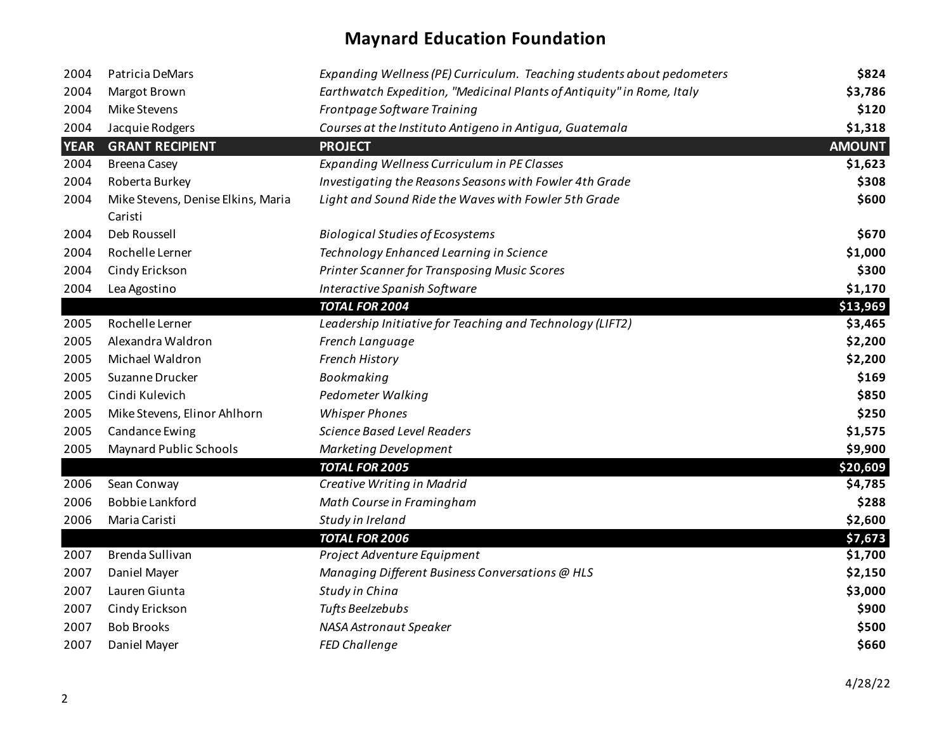| 2004        | Patricia DeMars                               | Expanding Wellness (PE) Curriculum. Teaching students about pedometers | \$824         |
|-------------|-----------------------------------------------|------------------------------------------------------------------------|---------------|
| 2004        | Margot Brown                                  | Earthwatch Expedition, "Medicinal Plants of Antiquity" in Rome, Italy  | \$3,786       |
| 2004        | Mike Stevens                                  | Frontpage Software Training                                            | \$120         |
| 2004        | Jacquie Rodgers                               | Courses at the Instituto Antigeno in Antigua, Guatemala                | \$1,318       |
| <b>YEAR</b> | <b>GRANT RECIPIENT</b>                        | <b>PROJECT</b>                                                         | <b>AMOUNT</b> |
| 2004        | <b>Breena Casey</b>                           | <b>Expanding Wellness Curriculum in PE Classes</b>                     | \$1,623       |
| 2004        | Roberta Burkey                                | Investigating the Reasons Seasons with Fowler 4th Grade                | \$308         |
| 2004        | Mike Stevens, Denise Elkins, Maria<br>Caristi | Light and Sound Ride the Waves with Fowler 5th Grade                   | \$600         |
| 2004        | Deb Roussell                                  | <b>Biological Studies of Ecosystems</b>                                | \$670         |
| 2004        | Rochelle Lerner                               | Technology Enhanced Learning in Science                                | \$1,000       |
| 2004        | Cindy Erickson                                | Printer Scanner for Transposing Music Scores                           | \$300         |
| 2004        | Lea Agostino                                  | Interactive Spanish Software                                           | \$1,170       |
|             |                                               | <b>TOTAL FOR 2004</b>                                                  | \$13,969      |
| 2005        | Rochelle Lerner                               | Leadership Initiative for Teaching and Technology (LIFT2)              | \$3,465       |
| 2005        | Alexandra Waldron                             | French Language                                                        | \$2,200       |
| 2005        | Michael Waldron                               | French History                                                         | \$2,200       |
| 2005        | Suzanne Drucker                               | Bookmaking                                                             | \$169         |
| 2005        | Cindi Kulevich                                | Pedometer Walking                                                      | \$850         |
| 2005        | Mike Stevens, Elinor Ahlhorn                  | <b>Whisper Phones</b>                                                  | \$250         |
| 2005        | Candance Ewing                                | <b>Science Based Level Readers</b>                                     | \$1,575       |
| 2005        | <b>Maynard Public Schools</b>                 | Marketing Development                                                  | \$9,900       |
|             |                                               | <b>TOTAL FOR 2005</b>                                                  | \$20,609      |
| 2006        | Sean Conway                                   | Creative Writing in Madrid                                             | \$4,785       |
| 2006        | <b>Bobbie Lankford</b>                        | Math Course in Framingham                                              | \$288         |
| 2006        | Maria Caristi                                 | Study in Ireland                                                       | \$2,600       |
|             |                                               | <b>TOTAL FOR 2006</b>                                                  | \$7,673       |
| 2007        | Brenda Sullivan                               | Project Adventure Equipment                                            | \$1,700       |
| 2007        | Daniel Mayer                                  | Managing Different Business Conversations @ HLS                        | \$2,150       |
| 2007        | Lauren Giunta                                 | Study in China                                                         | \$3,000       |
| 2007        | Cindy Erickson                                | Tufts Beelzebubs                                                       | \$900         |
| 2007        | <b>Bob Brooks</b>                             | NASA Astronaut Speaker                                                 | \$500         |
| 2007        | Daniel Mayer                                  | <b>FED Challenge</b>                                                   | \$660         |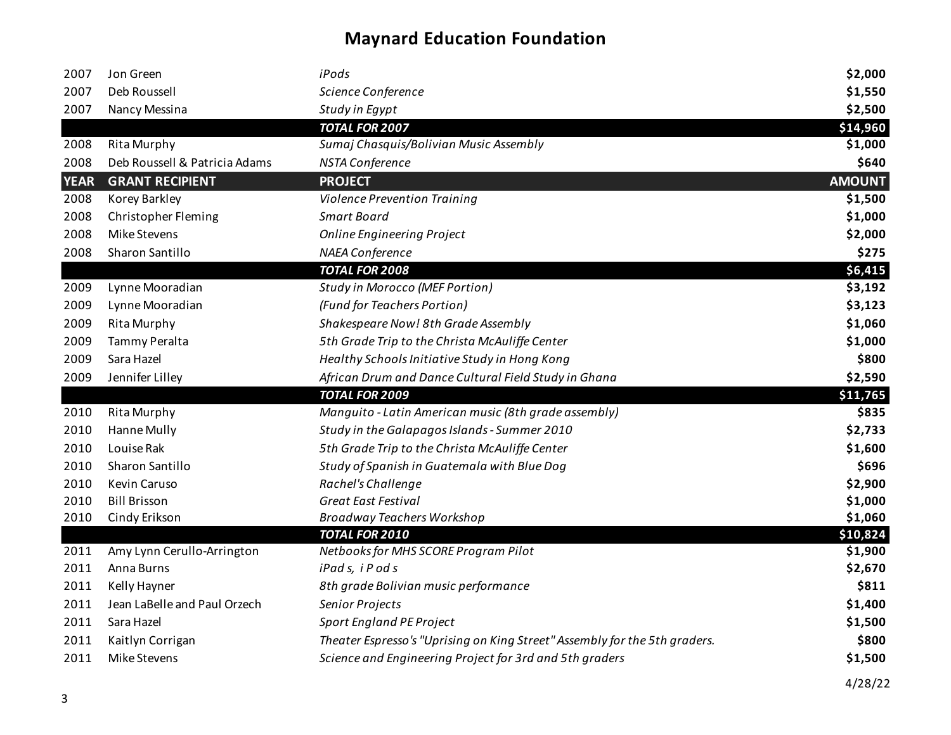| 2007        | Jon Green                     | iPods                                                                      | \$2,000       |
|-------------|-------------------------------|----------------------------------------------------------------------------|---------------|
| 2007        | Deb Roussell                  | Science Conference                                                         | \$1,550       |
| 2007        | Nancy Messina                 | Study in Egypt                                                             | \$2,500       |
|             |                               | <b>TOTAL FOR 2007</b>                                                      | \$14,960      |
| 2008        | <b>Rita Murphy</b>            | Sumaj Chasquis/Bolivian Music Assembly                                     | \$1,000       |
| 2008        | Deb Roussell & Patricia Adams | NSTA Conference                                                            | \$640         |
| <b>YEAR</b> | <b>GRANT RECIPIENT</b>        | <b>PROJECT</b>                                                             | <b>AMOUNT</b> |
| 2008        | Korey Barkley                 | <b>Violence Prevention Training</b>                                        | \$1,500       |
| 2008        | Christopher Fleming           | <b>Smart Board</b>                                                         | \$1,000       |
| 2008        | Mike Stevens                  | <b>Online Engineering Project</b>                                          | \$2,000       |
| 2008        | Sharon Santillo               | NAEA Conference                                                            | \$275         |
|             |                               | <b>TOTAL FOR 2008</b>                                                      | \$6,415       |
| 2009        | Lynne Mooradian               | <b>Study in Morocco (MEF Portion)</b>                                      | \$3,192       |
| 2009        | Lynne Mooradian               | (Fund for Teachers Portion)                                                | \$3,123       |
| 2009        | <b>Rita Murphy</b>            | Shakespeare Now! 8th Grade Assembly                                        | \$1,060       |
| 2009        | Tammy Peralta                 | 5th Grade Trip to the Christa McAuliffe Center                             | \$1,000       |
| 2009        | Sara Hazel                    | Healthy Schools Initiative Study in Hong Kong                              | \$800         |
| 2009        | Jennifer Lilley               | African Drum and Dance Cultural Field Study in Ghana                       | \$2,590       |
|             |                               | <b>TOTAL FOR 2009</b>                                                      | \$11,765      |
| 2010        | <b>Rita Murphy</b>            | Manguito - Latin American music (8th grade assembly)                       | \$835         |
| 2010        | Hanne Mully                   | Study in the Galapagos Islands - Summer 2010                               | \$2,733       |
| 2010        | Louise Rak                    | 5th Grade Trip to the Christa McAuliffe Center                             | \$1,600       |
| 2010        | Sharon Santillo               | Study of Spanish in Guatemala with Blue Dog                                | \$696         |
| 2010        | Kevin Caruso                  | Rachel's Challenge                                                         | \$2,900       |
| 2010        | <b>Bill Brisson</b>           | <b>Great East Festival</b>                                                 | \$1,000       |
| 2010        | Cindy Erikson                 | <b>Broadway Teachers Workshop</b>                                          | \$1,060       |
|             |                               | <b>TOTAL FOR 2010</b>                                                      | \$10,824      |
| 2011        | Amy Lynn Cerullo-Arrington    | Netbooks for MHS SCORE Program Pilot                                       | \$1,900       |
| 2011        | Anna Burns                    | iPads, iPods                                                               | \$2,670       |
| 2011        | Kelly Hayner                  | 8th grade Bolivian music performance                                       | \$811         |
| 2011        | Jean LaBelle and Paul Orzech  | Senior Projects                                                            | \$1,400       |
| 2011        | Sara Hazel                    | Sport England PE Project                                                   | \$1,500       |
| 2011        | Kaitlyn Corrigan              | Theater Espresso's "Uprising on King Street" Assembly for the 5th graders. | \$800         |
| 2011        | Mike Stevens                  | Science and Engineering Project for 3rd and 5th graders                    | \$1,500       |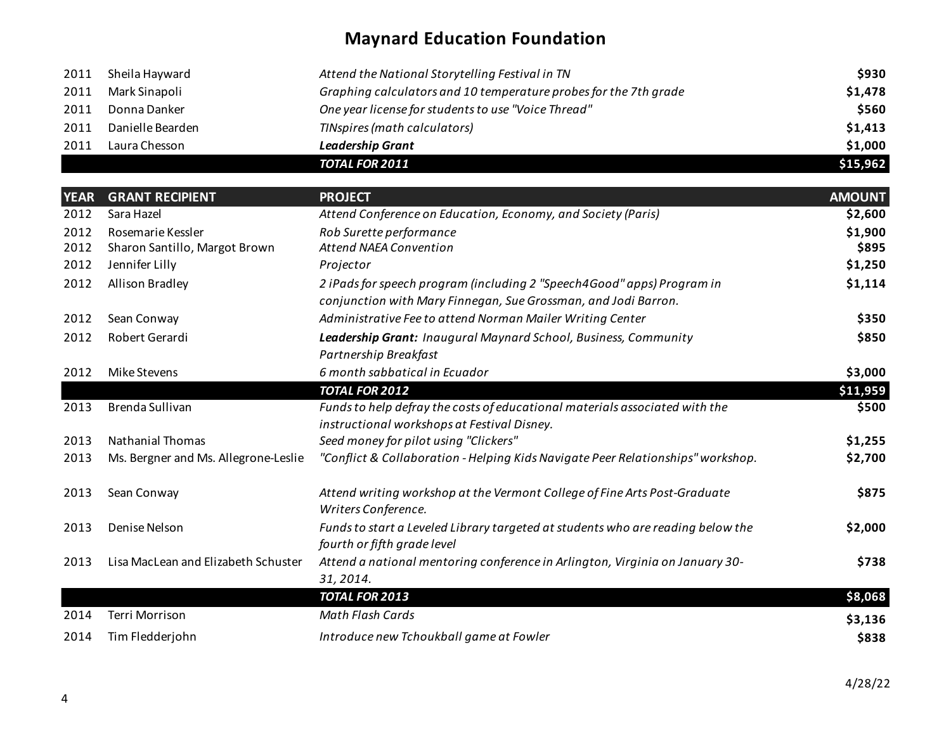|      |                  | <b>TOTAL FOR 2011</b>                                            | \$15,962 |
|------|------------------|------------------------------------------------------------------|----------|
| 2011 | Laura Chesson    | <b>Leadership Grant</b>                                          | \$1,000  |
| 2011 | Danielle Bearden | TINspires (math calculators)                                     | \$1,413  |
| 2011 | Donna Danker     | One year license for students to use "Voice Thread"              | \$560    |
| 2011 | Mark Sinapoli    | Graphing calculators and 10 temperature probes for the 7th grade | \$1,478  |
| 2011 | Sheila Hayward   | Attend the National Storytelling Festival in TN                  | \$930    |

| <b>YEAR</b> | <b>GRANT RECIPIENT</b>               | <b>PROJECT</b>                                                                                                                           | <b>AMOUNT</b> |
|-------------|--------------------------------------|------------------------------------------------------------------------------------------------------------------------------------------|---------------|
| 2012        | Sara Hazel                           | Attend Conference on Education, Economy, and Society (Paris)                                                                             | \$2,600       |
| 2012        | Rosemarie Kessler                    | Rob Surette performance                                                                                                                  | \$1,900       |
| 2012        | Sharon Santillo, Margot Brown        | <b>Attend NAEA Convention</b>                                                                                                            | \$895         |
| 2012        | Jennifer Lilly                       | Projector                                                                                                                                | \$1,250       |
| 2012        | Allison Bradley                      | 2 iPads for speech program (including 2 "Speech4Good" apps) Program in<br>conjunction with Mary Finnegan, Sue Grossman, and Jodi Barron. | \$1,114       |
| 2012        | Sean Conway                          | Administrative Fee to attend Norman Mailer Writing Center                                                                                | \$350         |
| 2012        | Robert Gerardi                       | Leadership Grant: Inaugural Maynard School, Business, Community<br>Partnership Breakfast                                                 | \$850         |
| 2012        | <b>Mike Stevens</b>                  | 6 month sabbatical in Ecuador                                                                                                            | \$3,000       |
|             |                                      | <b>TOTAL FOR 2012</b>                                                                                                                    | \$11,959      |
| 2013        | Brenda Sullivan                      | Funds to help defray the costs of educational materials associated with the<br>instructional workshops at Festival Disney.               | \$500         |
| 2013        | <b>Nathanial Thomas</b>              | Seed money for pilot using "Clickers"                                                                                                    | \$1,255       |
| 2013        | Ms. Bergner and Ms. Allegrone-Leslie | "Conflict & Collaboration - Helping Kids Navigate Peer Relationships" workshop.                                                          | \$2,700       |
| 2013        | Sean Conway                          | Attend writing workshop at the Vermont College of Fine Arts Post-Graduate<br>Writers Conference.                                         | \$875         |
| 2013        | Denise Nelson                        | Funds to start a Leveled Library targeted at students who are reading below the<br>fourth or fifth grade level                           | \$2,000       |
| 2013        | Lisa MacLean and Elizabeth Schuster  | Attend a national mentoring conference in Arlington, Virginia on January 30-<br>31, 2014.                                                | \$738         |
|             |                                      | <b>TOTAL FOR 2013</b>                                                                                                                    | \$8,068       |
| 2014        | Terri Morrison                       | Math Flash Cards                                                                                                                         | \$3,136       |
| 2014        | Tim Fledderjohn                      | Introduce new Tchoukball game at Fowler                                                                                                  | \$838         |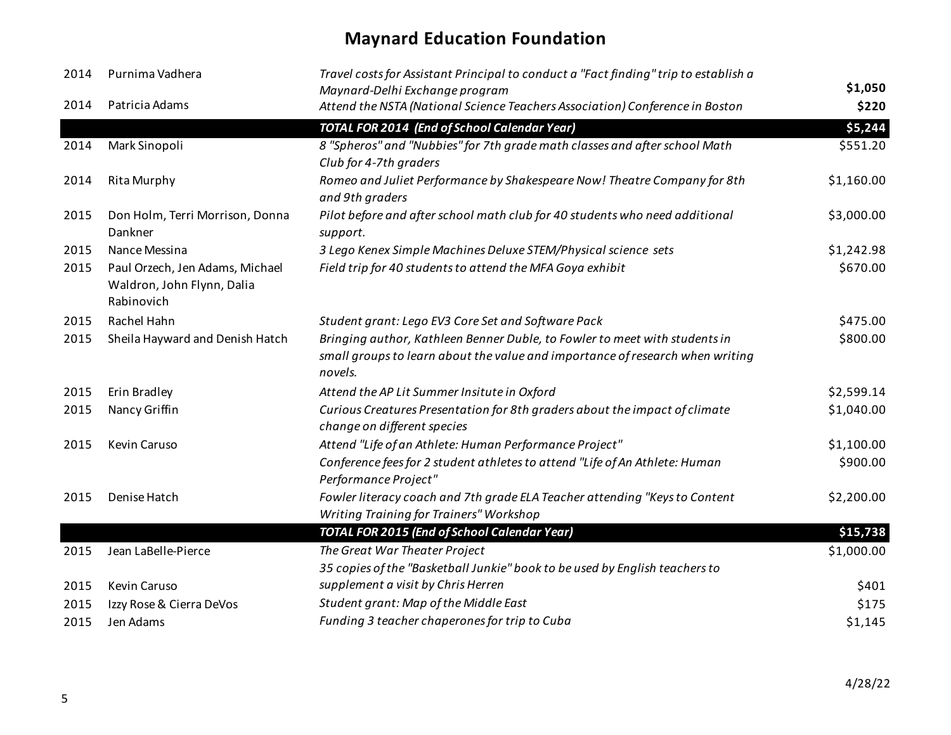| 2014 | Purnima Vadhera                                                             | Travel costs for Assistant Principal to conduct a "Fact finding" trip to establish a<br>Maynard-Delhi Exchange program                                                 | \$1,050    |
|------|-----------------------------------------------------------------------------|------------------------------------------------------------------------------------------------------------------------------------------------------------------------|------------|
| 2014 | Patricia Adams                                                              | Attend the NSTA (National Science Teachers Association) Conference in Boston                                                                                           | \$220      |
|      |                                                                             | <b>TOTAL FOR 2014 (End of School Calendar Year)</b>                                                                                                                    | \$5,244    |
| 2014 | Mark Sinopoli                                                               | 8 "Spheros" and "Nubbies" for 7th grade math classes and after school Math<br>Club for 4-7th graders                                                                   | \$551.20   |
| 2014 | <b>Rita Murphy</b>                                                          | Romeo and Juliet Performance by Shakespeare Now! Theatre Company for 8th<br>and 9th graders                                                                            | \$1,160.00 |
| 2015 | Don Holm, Terri Morrison, Donna<br>Dankner                                  | Pilot before and after school math club for 40 students who need additional<br>support.                                                                                | \$3,000.00 |
| 2015 | Nance Messina                                                               | 3 Lego Kenex Simple Machines Deluxe STEM/Physical science sets                                                                                                         | \$1,242.98 |
| 2015 | Paul Orzech, Jen Adams, Michael<br>Waldron, John Flynn, Dalia<br>Rabinovich | Field trip for 40 students to attend the MFA Goya exhibit                                                                                                              | \$670.00   |
| 2015 | Rachel Hahn                                                                 | Student grant: Lego EV3 Core Set and Software Pack                                                                                                                     | \$475.00   |
| 2015 | Sheila Hayward and Denish Hatch                                             | Bringing author, Kathleen Benner Duble, to Fowler to meet with students in<br>small groups to learn about the value and importance of research when writing<br>novels. | \$800.00   |
| 2015 | Erin Bradley                                                                | Attend the AP Lit Summer Insitute in Oxford                                                                                                                            | \$2,599.14 |
| 2015 | Nancy Griffin                                                               | Curious Creatures Presentation for 8th graders about the impact of climate<br>change on different species                                                              | \$1,040.00 |
| 2015 | Kevin Caruso                                                                | Attend "Life of an Athlete: Human Performance Project"                                                                                                                 | \$1,100.00 |
|      |                                                                             | Conference fees for 2 student athletes to attend "Life of An Athlete: Human<br>Performance Project"                                                                    | \$900.00   |
| 2015 | Denise Hatch                                                                | Fowler literacy coach and 7th grade ELA Teacher attending "Keys to Content<br>Writing Training for Trainers" Workshop                                                  | \$2,200.00 |
|      |                                                                             | <b>TOTAL FOR 2015 (End of School Calendar Year)</b>                                                                                                                    | \$15,738   |
| 2015 | Jean LaBelle-Pierce                                                         | The Great War Theater Project                                                                                                                                          | \$1,000.00 |
|      |                                                                             | 35 copies of the "Basketball Junkie" book to be used by English teachers to                                                                                            |            |
| 2015 | Kevin Caruso                                                                | supplement a visit by Chris Herren                                                                                                                                     | \$401      |
| 2015 | Izzy Rose & Cierra DeVos                                                    | Student grant: Map of the Middle East                                                                                                                                  | \$175      |
| 2015 | Jen Adams                                                                   | Funding 3 teacher chaperones for trip to Cuba                                                                                                                          | \$1,145    |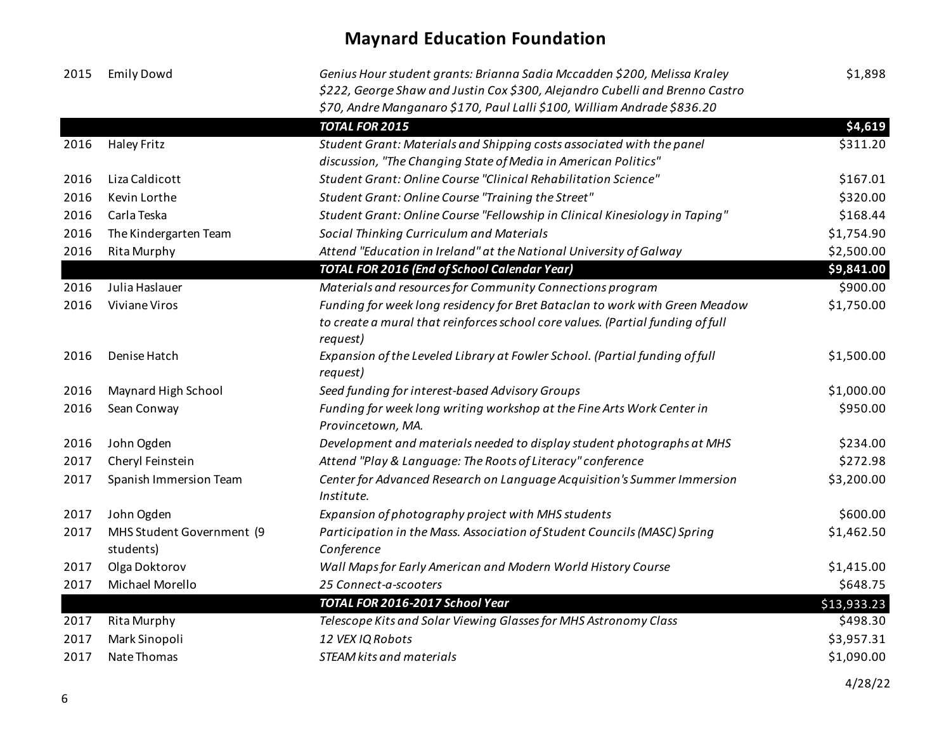| 2015 | <b>Emily Dowd</b>         | Genius Hour student grants: Brianna Sadia Mccadden \$200, Melissa Kraley<br>\$222, George Shaw and Justin Cox \$300, Alejandro Cubelli and Brenno Castro<br>\$70, Andre Manganaro \$170, Paul Lalli \$100, William Andrade \$836.20 | \$1,898     |
|------|---------------------------|-------------------------------------------------------------------------------------------------------------------------------------------------------------------------------------------------------------------------------------|-------------|
|      |                           | <b>TOTAL FOR 2015</b>                                                                                                                                                                                                               | \$4,619     |
| 2016 | <b>Haley Fritz</b>        | Student Grant: Materials and Shipping costs associated with the panel<br>discussion, "The Changing State of Media in American Politics"                                                                                             | \$311.20    |
| 2016 | Liza Caldicott            | Student Grant: Online Course "Clinical Rehabilitation Science"                                                                                                                                                                      | \$167.01    |
| 2016 | Kevin Lorthe              | Student Grant: Online Course "Training the Street"                                                                                                                                                                                  | \$320.00    |
| 2016 | Carla Teska               | Student Grant: Online Course "Fellowship in Clinical Kinesiology in Taping"                                                                                                                                                         | \$168.44    |
| 2016 | The Kindergarten Team     | Social Thinking Curriculum and Materials                                                                                                                                                                                            | \$1,754.90  |
| 2016 | Rita Murphy               | Attend "Education in Ireland" at the National University of Galway                                                                                                                                                                  | \$2,500.00  |
|      |                           | <b>TOTAL FOR 2016 (End of School Calendar Year)</b>                                                                                                                                                                                 | \$9,841.00  |
| 2016 | Julia Haslauer            | Materials and resources for Community Connections program                                                                                                                                                                           | \$900.00    |
| 2016 | <b>Viviane Viros</b>      | Funding for week long residency for Bret Bataclan to work with Green Meadow<br>to create a mural that reinforces school core values. (Partial funding of full<br>request)                                                           | \$1,750.00  |
| 2016 | Denise Hatch              | Expansion of the Leveled Library at Fowler School. (Partial funding of full<br>request)                                                                                                                                             | \$1,500.00  |
| 2016 | Maynard High School       | Seed funding for interest-based Advisory Groups                                                                                                                                                                                     | \$1,000.00  |
| 2016 | Sean Conway               | Funding for week long writing workshop at the Fine Arts Work Center in<br>Provincetown, MA.                                                                                                                                         | \$950.00    |
| 2016 | John Ogden                | Development and materials needed to display student photographs at MHS                                                                                                                                                              | \$234.00    |
| 2017 | Cheryl Feinstein          | Attend "Play & Language: The Roots of Literacy" conference                                                                                                                                                                          | \$272.98    |
| 2017 | Spanish Immersion Team    | Center for Advanced Research on Language Acquisition's Summer Immersion<br>Institute.                                                                                                                                               | \$3,200.00  |
| 2017 | John Ogden                | Expansion of photography project with MHS students                                                                                                                                                                                  | \$600.00    |
| 2017 | MHS Student Government (9 | Participation in the Mass. Association of Student Councils (MASC) Spring                                                                                                                                                            | \$1,462.50  |
|      | students)                 | Conference                                                                                                                                                                                                                          |             |
| 2017 | Olga Doktorov             | Wall Maps for Early American and Modern World History Course                                                                                                                                                                        | \$1,415.00  |
| 2017 | Michael Morello           | 25 Connect-a-scooters                                                                                                                                                                                                               | \$648.75    |
|      |                           | TOTAL FOR 2016-2017 School Year                                                                                                                                                                                                     | \$13,933.23 |
| 2017 | Rita Murphy               | Telescope Kits and Solar Viewing Glasses for MHS Astronomy Class                                                                                                                                                                    | \$498.30    |
| 2017 | Mark Sinopoli             | 12 VEX IQ Robots                                                                                                                                                                                                                    | \$3,957.31  |
| 2017 | Nate Thomas               | STEAM kits and materials                                                                                                                                                                                                            | \$1,090.00  |
|      |                           |                                                                                                                                                                                                                                     | 4/28/22     |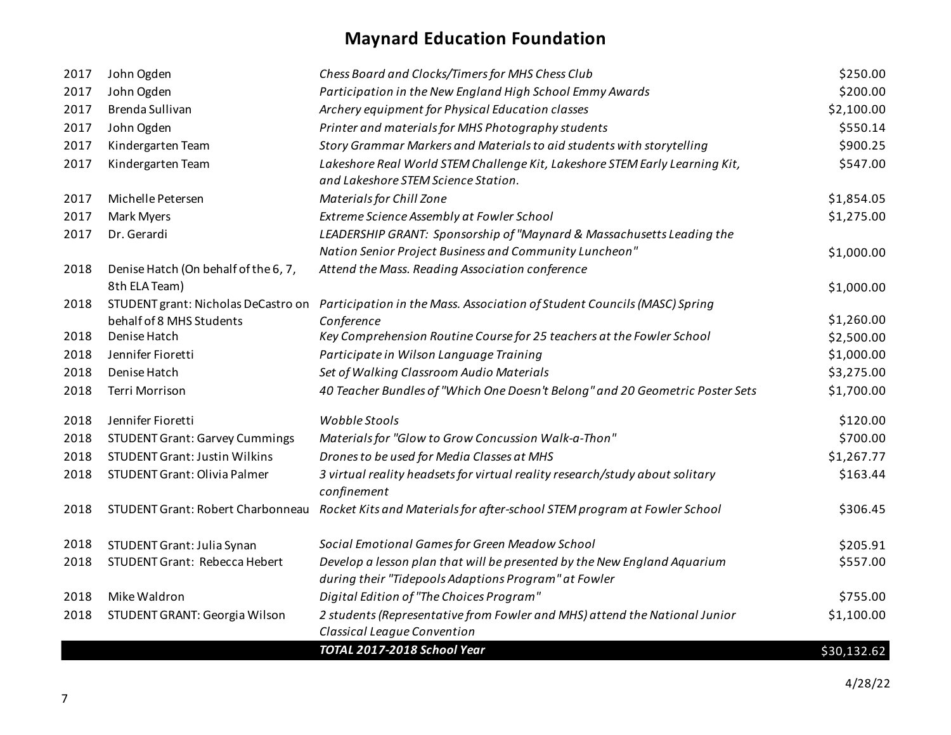| 2017 | John Ogden                            | Chess Board and Clocks/Timers for MHS Chess Club                                                                   | \$250.00    |
|------|---------------------------------------|--------------------------------------------------------------------------------------------------------------------|-------------|
| 2017 | John Ogden                            | Participation in the New England High School Emmy Awards                                                           | \$200.00    |
| 2017 | Brenda Sullivan                       | Archery equipment for Physical Education classes                                                                   | \$2,100.00  |
| 2017 | John Ogden                            | Printer and materials for MHS Photography students                                                                 | \$550.14    |
| 2017 | Kindergarten Team                     | Story Grammar Markers and Materials to aid students with storytelling                                              | \$900.25    |
| 2017 | Kindergarten Team                     | Lakeshore Real World STEM Challenge Kit, Lakeshore STEM Early Learning Kit,<br>and Lakeshore STEM Science Station. | \$547.00    |
| 2017 | Michelle Petersen                     | Materials for Chill Zone                                                                                           | \$1,854.05  |
| 2017 | Mark Myers                            | Extreme Science Assembly at Fowler School                                                                          | \$1,275.00  |
| 2017 | Dr. Gerardi                           | LEADERSHIP GRANT: Sponsorship of "Maynard & Massachusetts Leading the                                              |             |
|      |                                       | Nation Senior Project Business and Community Luncheon"                                                             | \$1,000.00  |
| 2018 | Denise Hatch (On behalf of the 6, 7,  | Attend the Mass. Reading Association conference                                                                    |             |
|      | 8th ELA Team)                         |                                                                                                                    | \$1,000.00  |
| 2018 |                                       | STUDENT grant: Nicholas DeCastro on Participation in the Mass. Association of Student Councils (MASC) Spring       |             |
|      | behalf of 8 MHS Students              | Conference                                                                                                         | \$1,260.00  |
| 2018 | Denise Hatch                          | Key Comprehension Routine Course for 25 teachers at the Fowler School                                              | \$2,500.00  |
| 2018 | Jennifer Fioretti                     | Participate in Wilson Language Training                                                                            | \$1,000.00  |
| 2018 | Denise Hatch                          | Set of Walking Classroom Audio Materials                                                                           | \$3,275.00  |
| 2018 | Terri Morrison                        | 40 Teacher Bundles of "Which One Doesn't Belong" and 20 Geometric Poster Sets                                      | \$1,700.00  |
| 2018 | Jennifer Fioretti                     | Wobble Stools                                                                                                      | \$120.00    |
| 2018 | <b>STUDENT Grant: Garvey Cummings</b> | Materials for "Glow to Grow Concussion Walk-a-Thon"                                                                | \$700.00    |
| 2018 | <b>STUDENT Grant: Justin Wilkins</b>  | Drones to be used for Media Classes at MHS                                                                         | \$1,267.77  |
| 2018 | <b>STUDENT Grant: Olivia Palmer</b>   | 3 virtual reality headsets for virtual reality research/study about solitary<br>confinement                        | \$163.44    |
| 2018 | STUDENT Grant: Robert Charbonneau     | Rocket Kits and Materials for after-school STEM program at Fowler School                                           | \$306.45    |
| 2018 | STUDENT Grant: Julia Synan            | Social Emotional Games for Green Meadow School                                                                     | \$205.91    |
| 2018 | <b>STUDENT Grant: Rebecca Hebert</b>  | Develop a lesson plan that will be presented by the New England Aquarium                                           | \$557.00    |
|      |                                       | during their "Tidepools Adaptions Program" at Fowler                                                               |             |
| 2018 | Mike Waldron                          | Digital Edition of "The Choices Program"                                                                           | \$755.00    |
| 2018 | STUDENT GRANT: Georgia Wilson         | 2 students (Representative from Fowler and MHS) attend the National Junior<br>Classical League Convention          | \$1,100.00  |
|      |                                       | TOTAL 2017-2018 School Year                                                                                        | \$30,132.62 |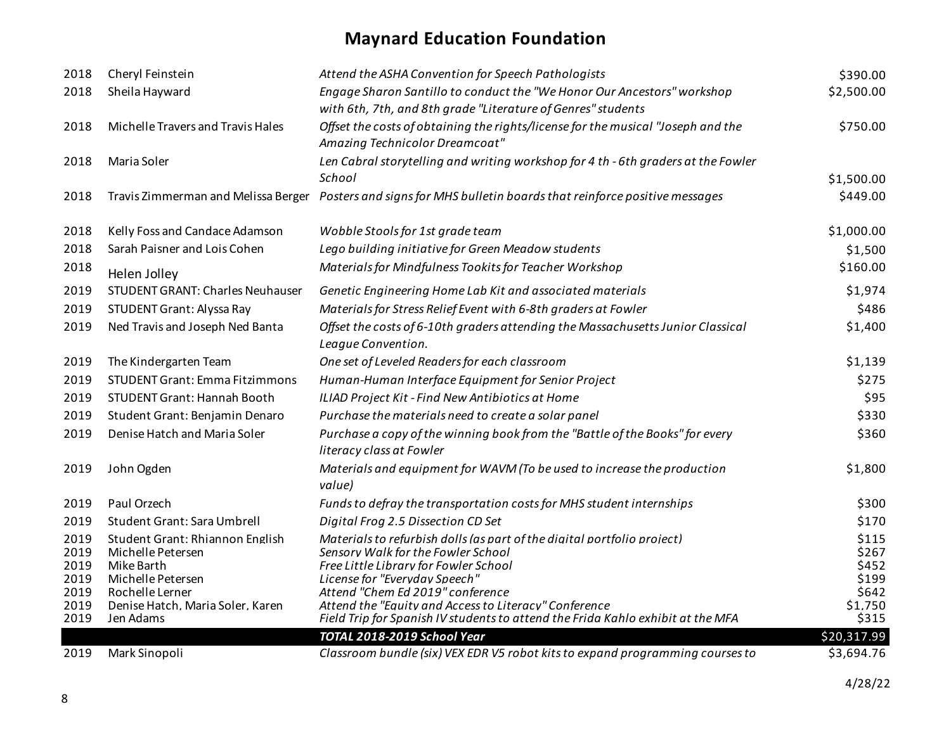| 2018                                 | Cheryl Feinstein                                                                                           | Attend the ASHA Convention for Speech Pathologists                                                                                                                                                                          | \$390.00                                  |
|--------------------------------------|------------------------------------------------------------------------------------------------------------|-----------------------------------------------------------------------------------------------------------------------------------------------------------------------------------------------------------------------------|-------------------------------------------|
| 2018                                 | Sheila Hayward                                                                                             | Engage Sharon Santillo to conduct the "We Honor Our Ancestors" workshop<br>with 6th, 7th, and 8th grade "Literature of Genres" students                                                                                     | \$2,500.00                                |
| 2018                                 | Michelle Travers and Travis Hales                                                                          | Offset the costs of obtaining the rights/license for the musical "Joseph and the<br>Amazing Technicolor Dreamcoat"                                                                                                          | \$750.00                                  |
| 2018                                 | Maria Soler                                                                                                | Len Cabral storytelling and writing workshop for 4 th - 6th graders at the Fowler                                                                                                                                           |                                           |
|                                      |                                                                                                            | School                                                                                                                                                                                                                      | \$1,500.00                                |
| 2018                                 | Travis Zimmerman and Melissa Berger                                                                        | Posters and signs for MHS bulletin boards that reinforce positive messages                                                                                                                                                  | \$449.00                                  |
| 2018                                 | Kelly Foss and Candace Adamson                                                                             | Wobble Stools for 1st grade team                                                                                                                                                                                            | \$1,000.00                                |
| 2018                                 | Sarah Paisner and Lois Cohen                                                                               | Lego building initiative for Green Meadow students                                                                                                                                                                          | \$1,500                                   |
| 2018                                 | Helen Jolley                                                                                               | Materials for Mindfulness Tookits for Teacher Workshop                                                                                                                                                                      | \$160.00                                  |
| 2019                                 | <b>STUDENT GRANT: Charles Neuhauser</b>                                                                    | Genetic Engineering Home Lab Kit and associated materials                                                                                                                                                                   | \$1,974                                   |
| 2019                                 | STUDENT Grant: Alyssa Ray                                                                                  | Materials for Stress Relief Event with 6-8th graders at Fowler                                                                                                                                                              | \$486                                     |
| 2019                                 | Ned Travis and Joseph Ned Banta                                                                            | Offset the costs of 6-10th graders attending the Massachusetts Junior Classical<br>League Convention.                                                                                                                       | \$1,400                                   |
| 2019                                 | The Kindergarten Team                                                                                      | One set of Leveled Readers for each classroom                                                                                                                                                                               | \$1,139                                   |
| 2019                                 | <b>STUDENT Grant: Emma Fitzimmons</b>                                                                      | Human-Human Interface Equipment for Senior Project                                                                                                                                                                          | \$275                                     |
| 2019                                 | <b>STUDENT Grant: Hannah Booth</b>                                                                         | ILIAD Project Kit - Find New Antibiotics at Home                                                                                                                                                                            | \$95                                      |
| 2019                                 | Student Grant: Benjamin Denaro                                                                             | Purchase the materials need to create a solar panel                                                                                                                                                                         | \$330                                     |
| 2019                                 | Denise Hatch and Maria Soler                                                                               | Purchase a copy of the winning book from the "Battle of the Books" for every<br>literacy class at Fowler                                                                                                                    | \$360                                     |
| 2019                                 | John Ogden                                                                                                 | Materials and equipment for WAVM (To be used to increase the production<br>value)                                                                                                                                           | \$1,800                                   |
| 2019                                 | Paul Orzech                                                                                                | Funds to defray the transportation costs for MHS student internships                                                                                                                                                        | \$300                                     |
| 2019                                 | Student Grant: Sara Umbrell                                                                                | Digital Frog 2.5 Dissection CD Set                                                                                                                                                                                          | \$170                                     |
| 2019<br>2019<br>2019<br>2019<br>2019 | Student Grant: Rhiannon English<br>Michelle Petersen<br>Mike Barth<br>Michelle Petersen<br>Rochelle Lerner | Materials to refurbish dolls (as part of the diaital portfolio proiect)<br>Sensory Walk for the Fowler School<br>Free Little Librarv for Fowler School<br>License for "Evervdav Speech"<br>Attend "Chem Ed 2019" conference | \$115<br>\$267<br>\$452<br>\$199<br>\$642 |
| 2019                                 | Denise Hatch. Maria Soler. Karen                                                                           | Attend the "Eauitv and Access to Literacv" Conference                                                                                                                                                                       | \$1.750                                   |
| 2019                                 | Jen Adams                                                                                                  | Field Trip for Spanish IV students to attend the Frida Kahlo exhibit at the MFA                                                                                                                                             | \$315                                     |
|                                      |                                                                                                            | TOTAL 2018-2019 School Year                                                                                                                                                                                                 | \$20,317.99                               |
| 2019                                 | Mark Sinopoli                                                                                              | Classroom bundle (six) VEX EDR V5 robot kits to expand programming courses to                                                                                                                                               | \$3,694.76                                |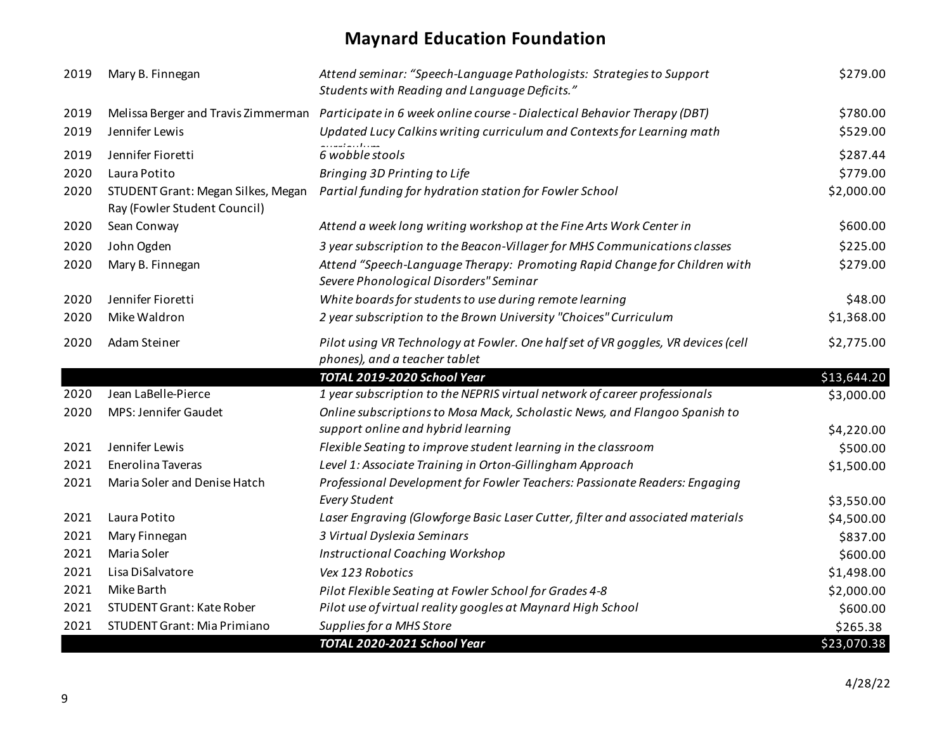| 2019 | Mary B. Finnegan                                                   | Attend seminar: "Speech-Language Pathologists: Strategies to Support<br>Students with Reading and Language Deficits." | \$279.00    |
|------|--------------------------------------------------------------------|-----------------------------------------------------------------------------------------------------------------------|-------------|
| 2019 |                                                                    | Melissa Berger and Travis Zimmerman Participate in 6 week online course - Dialectical Behavior Therapy (DBT)          | \$780.00    |
| 2019 | Jennifer Lewis                                                     | Updated Lucy Calkins writing curriculum and Contexts for Learning math                                                | \$529.00    |
| 2019 | Jennifer Fioretti                                                  | 6 wobble stools                                                                                                       | \$287.44    |
| 2020 | Laura Potito                                                       | Bringing 3D Printing to Life                                                                                          | \$779.00    |
| 2020 | STUDENT Grant: Megan Silkes, Megan<br>Ray (Fowler Student Council) | Partial funding for hydration station for Fowler School                                                               | \$2,000.00  |
| 2020 | Sean Conway                                                        | Attend a week long writing workshop at the Fine Arts Work Center in                                                   | \$600.00    |
| 2020 | John Ogden                                                         | 3 year subscription to the Beacon-Villager for MHS Communications classes                                             | \$225.00    |
| 2020 | Mary B. Finnegan                                                   | Attend "Speech-Language Therapy: Promoting Rapid Change for Children with<br>Severe Phonological Disorders" Seminar   | \$279.00    |
| 2020 | Jennifer Fioretti                                                  | White boards for students to use during remote learning                                                               | \$48.00     |
| 2020 | Mike Waldron                                                       | 2 year subscription to the Brown University "Choices" Curriculum                                                      | \$1,368.00  |
| 2020 | Adam Steiner                                                       | Pilot using VR Technology at Fowler. One half set of VR goggles, VR devices (cell<br>phones), and a teacher tablet    | \$2,775.00  |
|      |                                                                    | TOTAL 2019-2020 School Year                                                                                           | \$13,644.20 |
| 2020 | Jean LaBelle-Pierce                                                | 1 year subscription to the NEPRIS virtual network of career professionals                                             | \$3,000.00  |
| 2020 | MPS: Jennifer Gaudet                                               | Online subscriptions to Mosa Mack, Scholastic News, and Flangoo Spanish to                                            |             |
|      |                                                                    | support online and hybrid learning                                                                                    | \$4,220.00  |
| 2021 | Jennifer Lewis                                                     | Flexible Seating to improve student learning in the classroom                                                         | \$500.00    |
| 2021 | Enerolina Taveras                                                  | Level 1: Associate Training in Orton-Gillingham Approach                                                              | \$1,500.00  |
| 2021 | Maria Soler and Denise Hatch                                       | Professional Development for Fowler Teachers: Passionate Readers: Engaging                                            |             |
|      |                                                                    | <b>Every Student</b>                                                                                                  | \$3,550.00  |
| 2021 | Laura Potito                                                       | Laser Engraving (Glowforge Basic Laser Cutter, filter and associated materials                                        | \$4,500.00  |
| 2021 | Mary Finnegan                                                      | 3 Virtual Dyslexia Seminars                                                                                           | \$837.00    |
| 2021 | Maria Soler                                                        | <b>Instructional Coaching Workshop</b>                                                                                | \$600.00    |
| 2021 | Lisa DiSalvatore                                                   | Vex 123 Robotics                                                                                                      | \$1,498.00  |
| 2021 | Mike Barth                                                         | Pilot Flexible Seating at Fowler School for Grades 4-8                                                                | \$2,000.00  |
| 2021 | <b>STUDENT Grant: Kate Rober</b>                                   | Pilot use of virtual reality googles at Maynard High School                                                           | \$600.00    |
| 2021 | <b>STUDENT Grant: Mia Primiano</b>                                 | Supplies for a MHS Store                                                                                              | \$265.38    |
|      |                                                                    | TOTAL 2020-2021 School Year                                                                                           | \$23,070.38 |